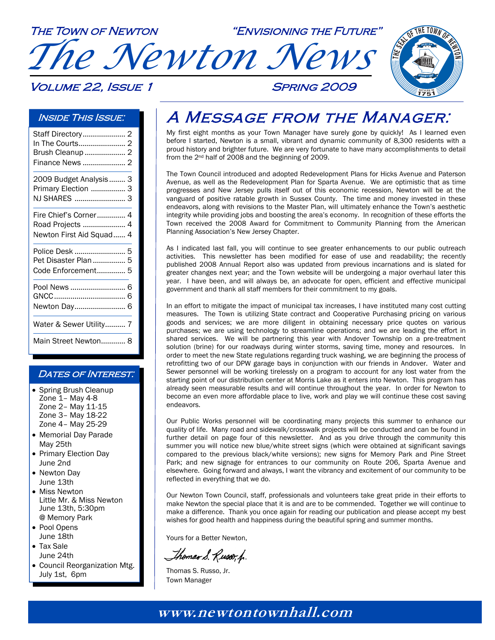The Town of Newton "Envisioning the Future" *The Newton News*  **THE S NE THE TOWA N**

### **VOLUME 22, ISSUE 1 SPRING 2009**

#### Inside This Issue:

| In The Courts 2<br>Brush Cleanup  2<br>Finance News  2                |  |
|-----------------------------------------------------------------------|--|
| 2009 Budget Analysis  3<br>Primary Election  3<br>NJ SHARES  3        |  |
| Fire Chief's Corner 4<br>Road Projects  4<br>Newton First Aid Squad 4 |  |
| Police Desk  5<br>Pet Disaster Plan  5<br>Code Enforcement 5          |  |
| Pool News  6<br>Newton Day 6                                          |  |
| Water & Sewer Utility 7                                               |  |
| Main Street Newton 8                                                  |  |

#### DATES OF INTEREST:

- Spring Brush Cleanup
	- Zone 1– May 4-8
	- Zone 2– May 11-15
	- Zone 3– May 18-22
- Zone 4– May 25-29 • Memorial Day Parade May 25th
- Primary Election Day June 2nd
- Newton Day June 13th
- Miss Newton Little Mr. & Miss Newton June 13th, 5:30pm @ Memory Park
- Pool Opens June 18th
- Tax Sale June 24th
- Council Reorganization Mtg. July 1st, 6pm

### A Message from the Manager:

My first eight months as your Town Manager have surely gone by quickly! As I learned even before I started, Newton is a small, vibrant and dynamic community of 8,300 residents with a proud history and brighter future. We are very fortunate to have many accomplishments to detail from the 2nd half of 2008 and the beginning of 2009.

**1751 SETTLE<sup>D</sup> <sup>I</sup><sup>N</sup>**

The Town Council introduced and adopted Redevelopment Plans for Hicks Avenue and Paterson Avenue, as well as the Redevelopment Plan for Sparta Avenue. We are optimistic that as time progresses and New Jersey pulls itself out of this economic recession, Newton will be at the vanguard of positive ratable growth in Sussex County. The time and money invested in these endeavors, along with revisions to the Master Plan, will ultimately enhance the Town's aesthetic integrity while providing jobs and boosting the area's economy. In recognition of these efforts the Town received the 2008 Award for Commitment to Community Planning from the American Planning Association's New Jersey Chapter.

As I indicated last fall, you will continue to see greater enhancements to our public outreach activities. This newsletter has been modified for ease of use and readability; the recently published 2008 Annual Report also was updated from previous incarnations and is slated for greater changes next year; and the Town website will be undergoing a major overhaul later this year. I have been, and will always be, an advocate for open, efficient and effective municipal government and thank all staff members for their commitment to my goals.

In an effort to mitigate the impact of municipal tax increases, I have instituted many cost cutting measures. The Town is utilizing State contract and Cooperative Purchasing pricing on various goods and services; we are more diligent in obtaining necessary price quotes on various purchases; we are using technology to streamline operations; and we are leading the effort in shared services. We will be partnering this year with Andover Township on a pre-treatment solution (brine) for our roadways during winter storms, saving time, money and resources. In order to meet the new State regulations regarding truck washing, we are beginning the process of retrofitting two of our DPW garage bays in conjunction with our friends in Andover. Water and Sewer personnel will be working tirelessly on a program to account for any lost water from the starting point of our distribution center at Morris Lake as it enters into Newton. This program has already seen measurable results and will continue throughout the year. In order for Newton to become an even more affordable place to live, work and play we will continue these cost saving endeavors.

Our Public Works personnel will be coordinating many projects this summer to enhance our quality of life. Many road and sidewalk/crosswalk projects will be conducted and can be found in further detail on page four of this newsletter. And as you drive through the community this summer you will notice new blue/white street signs (which were obtained at significant savings compared to the previous black/white versions); new signs for Memory Park and Pine Street Park; and new signage for entrances to our community on Route 206, Sparta Avenue and elsewhere. Going forward and always, I want the vibrancy and excitement of our community to be reflected in everything that we do.

Our Newton Town Council, staff, professionals and volunteers take great pride in their efforts to make Newton the special place that it is and are to be commended. Together we will continue to make a difference. Thank you once again for reading our publication and please accept my best wishes for good health and happiness during the beautiful spring and summer months.

Yours for a Better Newton,

Thomas S. Russo, h.

Thomas S. Russo, Jr. Town Manager

### **www.newtontownhall.com www.newtontownhall.com**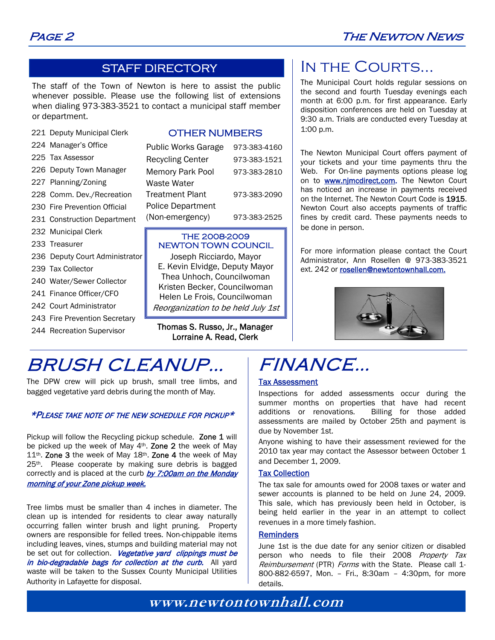### STAFF DIRECTORY

The staff of the Town of Newton is here to assist the public whenever possible. Please use the following list of extensions when dialing 973-383-3521 to contact a municipal staff member or department.

- 221 Deputy Municipal Clerk
- 224 Manager's Office
- 225 Tax Assessor
- 226 Deputy Town Manager
- 227 Planning/Zoning
- 228 Comm. Dev./Recreation
- 230 Fire Prevention Official
- 231 Construction Department
- 232 Municipal Clerk
- 233 Treasurer
- 236 Deputy Court Administrator
- 239 Tax Collector
- 240 Water/Sewer Collector
- 241 Finance Officer/CFO
- 242 Court Administrator
- 243 Fire Prevention Secretary
- 244 Recreation Supervisor

#### OTHER NUMBERS

| <b>Public Works Garage</b> | 973-383-4160 |
|----------------------------|--------------|
| <b>Recycling Center</b>    | 973-383-1521 |
| <b>Memory Park Pool</b>    | 973-383-2810 |
| Waste Water                |              |
| <b>Treatment Plant</b>     | 973-383-2090 |
| <b>Police Department</b>   |              |
| (Non-emergency)            | 973-383-2525 |

#### THE 2008-2009 NEWTON TOWN COUNCIL

Joseph Ricciardo, Mayor E. Kevin Elvidge, Deputy Mayor Thea Unhoch, Councilwoman Kristen Becker, Councilwoman Helen Le Frois, Councilwoman Reorganization to be held July 1st

Thomas S. Russo, Jr., Manager Lorraine A. Read, Clerk

# BRUSH CLEANUP…

The DPW crew will pick up brush, small tree limbs, and bagged vegetative yard debris during the month of May.

#### \*PLEASE TAKE NOTE OF THE NEW SCHEDULE FOR PICKUP\*

Pickup will follow the Recycling pickup schedule. Zone 1 will be picked up the week of May 4th. Zone 2 the week of May 11<sup>th</sup>. Zone 3 the week of May 18<sup>th</sup>. Zone 4 the week of May 25th. Please cooperate by making sure debris is bagged correctly and is placed at the curb by 7:00am on the Monday morning of your Zone pickup week.

Tree limbs must be smaller than 4 inches in diameter. The clean up is intended for residents to clear away naturally occurring fallen winter brush and light pruning. Property owners are responsible for felled trees. Non-chippable items including leaves, vines, stumps and building material may not be set out for collection. Vegetative yard clippings must be in bio-degradable bags for collection at the curb. All yard waste will be taken to the Sussex County Municipal Utilities Authority in Lafayette for disposal.

### In the Courts…

The Municipal Court holds regular sessions on the second and fourth Tuesday evenings each month at 6:00 p.m. for first appearance. Early disposition conferences are held on Tuesday at 9:30 a.m. Trials are conducted every Tuesday at 1:00 p.m.

The Newton Municipal Court offers payment of your tickets and your time payments thru the Web. For On-line payments options please log on to **www.nimcdirect.com**. The Newton Court has noticed an increase in payments received on the Internet. The Newton Court Code is 1915. Newton Court also accepts payments of traffic fines by credit card. These payments needs to be done in person.

For more information please contact the Court Administrator, Ann Rosellen @ 973-383-3521 ext. 242 or rosellen@newtontownhall.com.



# FINANCE…

#### Tax Assessment

Inspections for added assessments occur during the summer months on properties that have had recent additions or renovations. Billing for those added assessments are mailed by October 25th and payment is due by November 1st.

Anyone wishing to have their assessment reviewed for the 2010 tax year may contact the Assessor between October 1 and December 1, 2009.

#### Tax Collection

The tax sale for amounts owed for 2008 taxes or water and sewer accounts is planned to be held on June 24, 2009. This sale, which has previously been held in October, is being held earlier in the year in an attempt to collect revenues in a more timely fashion.

#### **Reminders**

June 1st is the due date for any senior citizen or disabled person who needs to file their 2008 Property Tax Reimbursement (PTR) Forms with the State. Please call 1-800-882-6597, Mon. – Fri., 8:30am – 4:30pm, for more details.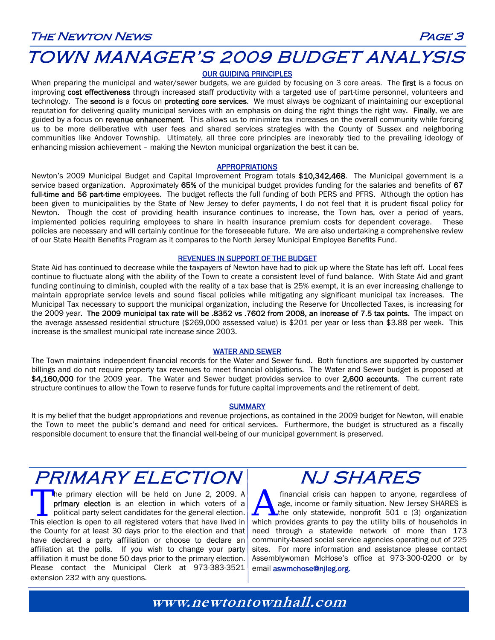### THE NEWTON NEWS ARE IN THE REAL PAGE 3

# TOWN MANAGER'S 2009 BUDGET ANALYSIS

#### OUR GUIDING PRINCIPLES

When preparing the municipal and water/sewer budgets, we are guided by focusing on 3 core areas. The first is a focus on improving cost effectiveness through increased staff productivity with a targeted use of part-time personnel, volunteers and technology. The second is a focus on protecting core services. We must always be cognizant of maintaining our exceptional reputation for delivering quality municipal services with an emphasis on doing the right things the right way. Finally, we are guided by a focus on revenue enhancement. This allows us to minimize tax increases on the overall community while forcing us to be more deliberative with user fees and shared services strategies with the County of Sussex and neighboring communities like Andover Township. Ultimately, all three core principles are inexorably tied to the prevailing ideology of enhancing mission achievement – making the Newton municipal organization the best it can be.

#### APPROPRIATIONS

Newton's 2009 Municipal Budget and Capital Improvement Program totals \$10,342,468. The Municipal government is a service based organization. Approximately 65% of the municipal budget provides funding for the salaries and benefits of 67 full-time and 56 part-time employees. The budget reflects the full funding of both PERS and PFRS. Although the option has been given to municipalities by the State of New Jersey to defer payments, I do not feel that it is prudent fiscal policy for Newton. Though the cost of providing health insurance continues to increase, the Town has, over a period of years, implemented policies requiring employees to share in health insurance premium costs for dependent coverage. These policies are necessary and will certainly continue for the foreseeable future. We are also undertaking a comprehensive review of our State Health Benefits Program as it compares to the North Jersey Municipal Employee Benefits Fund.

#### REVENUES IN SUPPORT OF THE BUDGET

State Aid has continued to decrease while the taxpayers of Newton have had to pick up where the State has left off. Local fees continue to fluctuate along with the ability of the Town to create a consistent level of fund balance. With State Aid and grant funding continuing to diminish, coupled with the reality of a tax base that is 25% exempt, it is an ever increasing challenge to maintain appropriate service levels and sound fiscal policies while mitigating any significant municipal tax increases. The Municipal Tax necessary to support the municipal organization, including the Reserve for Uncollected Taxes, is increasing for the 2009 year. The 2009 municipal tax rate will be .8352 vs .7602 from 2008, an increase of 7.5 tax points. The impact on the average assessed residential structure (\$269,000 assessed value) is \$201 per year or less than \$3.88 per week. This increase is the smallest municipal rate increase since 2003.

#### WATER AND SEWER

The Town maintains independent financial records for the Water and Sewer fund. Both functions are supported by customer billings and do not require property tax revenues to meet financial obligations. The Water and Sewer budget is proposed at \$4,160,000 for the 2009 year. The Water and Sewer budget provides service to over 2,600 accounts. The current rate structure continues to allow the Town to reserve funds for future capital improvements and the retirement of debt.

#### **SUMMARY**

It is my belief that the budget appropriations and revenue projections, as contained in the 2009 budget for Newton, will enable the Town to meet the public's demand and need for critical services. Furthermore, the budget is structured as a fiscally responsible document to ensure that the financial well-being of our municipal government is preserved.

# PRIMARY ELECTION

The primary election will be held on June 2, 2009. A **primary election** is an election in which voters of a political party select candidates for the general election.<br>This election is onen to all registered voters that ha primary election is an election in which voters of a This election is open to all registered voters that have lived in the County for at least 30 days prior to the election and that have declared a party affiliation or choose to declare an affiliation at the polls. If you wish to change your party affiliation it must be done 50 days prior to the primary election. Please contact the Municipal Clerk at 973-383-3521 extension 232 with any questions.

### NJ SHARES

financial crisis can happen to anyone, regardless of age, income or family situation. New Jersey SHARES is the only statewide, nonprofit 501 c (3) organization which provides grants to pay the utility bills of bouseholds i age, income or family situation. New Jersey SHARES is which provides grants to pay the utility bills of households in need through a statewide network of more than 173 community-based social service agencies operating out of 225 sites. For more information and assistance please contact Assemblywoman McHose's office at 973-300-0200 or by email **aswmchose@njleg.org.**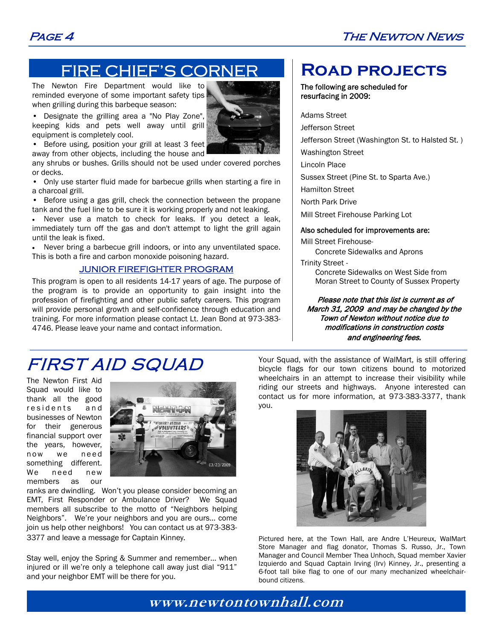### FIRE CHIEF'S CORNER

The Newton Fire Department would like to reminded everyone of some important safety tips when grilling during this barbeque season:

• Designate the grilling area a "No Play Zone", keeping kids and pets well away until grill

• Before using, position your grill at least 3 feet away from other objects, including the house and

equipment is completely cool.

any shrubs or bushes. Grills should not be used under covered porches or decks.

• Only use starter fluid made for barbecue grills when starting a fire in a charcoal grill.

Before using a gas grill, check the connection between the propane tank and the fuel line to be sure it is working properly and not leaking.

• Never use a match to check for leaks. If you detect a leak, immediately turn off the gas and don't attempt to light the grill again until the leak is fixed.

• Never bring a barbecue grill indoors, or into any unventilated space. This is both a fire and carbon monoxide poisoning hazard.

#### JUNIOR FIREFIGHTER PROGRAM

This program is open to all residents 14-17 years of age. The purpose of the program is to provide an opportunity to gain insight into the profession of firefighting and other public safety careers. This program will provide personal growth and self-confidence through education and training. For more information please contact Lt. Jean Bond at 973-383- 4746. Please leave your name and contact information.

### **Road projects**

#### The following are scheduled for resurfacing in 2009:

Adams Street

Jefferson Street

Jefferson Street (Washington St. to Halsted St. )

Washington Street

Lincoln Place

Sussex Street (Pine St. to Sparta Ave.)

Hamilton Street

North Park Drive

Mill Street Firehouse Parking Lot

#### Also scheduled for improvements are:

Mill Street Firehouse-

Concrete Sidewalks and Aprons

Trinity Street -

Concrete Sidewalks on West Side from Moran Street to County of Sussex Property

Please note that this list is current as of March 31, 2009 and may be changed by the Town of Newton without notice due to modifications in construction costs and engineering fees.

# FIRST AID SQUAD

The Newton First Aid Squad would like to thank all the good residents and businesses of Newton for their generous financial support over the years, however, now we need something different. We need new members as our



ranks are dwindling. Won't you please consider becoming an EMT, First Responder or Ambulance Driver? We Squad members all subscribe to the motto of "Neighbors helping Neighbors". We're your neighbors and you are ours… come join us help other neighbors! You can contact us at 973-383- 3377 and leave a message for Captain Kinney.

Stay well, enjoy the Spring & Summer and remember… when injured or ill we're only a telephone call away just dial "911" and your neighbor EMT will be there for you.

Your Squad, with the assistance of WalMart, is still offering bicycle flags for our town citizens bound to motorized wheelchairs in an attempt to increase their visibility while riding our streets and highways. Anyone interested can contact us for more information, at 973-383-3377, thank you.



Pictured here, at the Town Hall, are Andre L'Heureux, WalMart Store Manager and flag donator, Thomas S. Russo, Jr., Town Manager and Council Member Thea Unhoch, Squad member Xavier Izquierdo and Squad Captain Irving (Irv) Kinney, Jr., presenting a 6-foot tall bike flag to one of our many mechanized wheelchairbound citizens.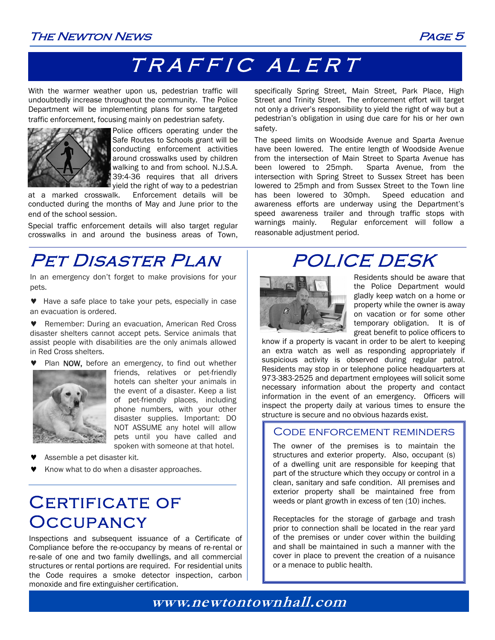# TRAFFIC ALERT

With the warmer weather upon us, pedestrian traffic will undoubtedly increase throughout the community. The Police Department will be implementing plans for some targeted traffic enforcement, focusing mainly on pedestrian safety.



Police officers operating under the Safe Routes to Schools grant will be conducting enforcement activities around crosswalks used by children walking to and from school. N.J.S.A. 39:4-36 requires that all drivers yield the right of way to a pedestrian

at a marked crosswalk. Enforcement details will be conducted during the months of May and June prior to the end of the school session.

Special traffic enforcement details will also target regular crosswalks in and around the business areas of Town,

Pet Disaster Plan

In an emergency don't forget to make provisions for your pets.

♥ Have a safe place to take your pets, especially in case an evacuation is ordered.

Remember: During an evacuation, American Red Cross disaster shelters cannot accept pets. Service animals that assist people with disabilities are the only animals allowed in Red Cross shelters.

Plan NOW, before an emergency, to find out whether



friends, relatives or pet-friendly hotels can shelter your animals in the event of a disaster. Keep a list of pet-friendly places, including phone numbers, with your other disaster supplies. Important: DO NOT ASSUME any hotel will allow pets until you have called and spoken with someone at that hotel.

- Assemble a pet disaster kit.
- Know what to do when a disaster approaches.

### CERTIFICATE OF **OCCUPANCY**

Inspections and subsequent issuance of a Certificate of Compliance before the re-occupancy by means of re-rental or re-sale of one and two family dwellings, and all commercial structures or rental portions are required. For residential units the Code requires a smoke detector inspection, carbon monoxide and fire extinguisher certification.

specifically Spring Street, Main Street, Park Place, High Street and Trinity Street. The enforcement effort will target not only a driver's responsibility to yield the right of way but a pedestrian's obligation in using due care for his or her own safety.

The speed limits on Woodside Avenue and Sparta Avenue have been lowered. The entire length of Woodside Avenue from the intersection of Main Street to Sparta Avenue has been lowered to 25mph. Sparta Avenue, from the intersection with Spring Street to Sussex Street has been lowered to 25mph and from Sussex Street to the Town line has been lowered to 30mph. Speed education and awareness efforts are underway using the Department's speed awareness trailer and through traffic stops with warnings mainly. Regular enforcement will follow a reasonable adjustment period.

### POLICE DESK



Residents should be aware that the Police Department would gladly keep watch on a home or property while the owner is away on vacation or for some other temporary obligation. It is of great benefit to police officers to

know if a property is vacant in order to be alert to keeping an extra watch as well as responding appropriately if suspicious activity is observed during regular patrol. Residents may stop in or telephone police headquarters at 973-383-2525 and department employees will solicit some necessary information about the property and contact information in the event of an emergency. Officers will inspect the property daily at various times to ensure the structure is secure and no obvious hazards exist.

#### Code enforcement reminders

The owner of the premises is to maintain the structures and exterior property. Also, occupant (s) of a dwelling unit are responsible for keeping that part of the structure which they occupy or control in a clean, sanitary and safe condition. All premises and exterior property shall be maintained free from weeds or plant growth in excess of ten (10) inches.

Receptacles for the storage of garbage and trash prior to connection shall be located in the rear yard of the premises or under cover within the building and shall be maintained in such a manner with the cover in place to prevent the creation of a nuisance or a menace to public health.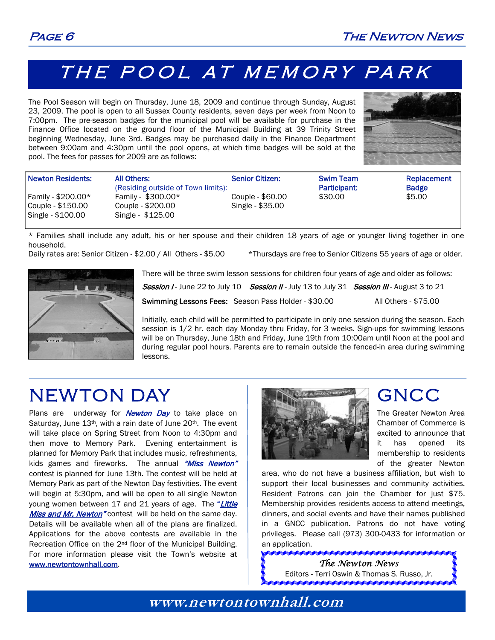# THE POOL AT MEMORY PARK

The Pool Season will begin on Thursday, June 18, 2009 and continue through Sunday, August 23, 2009. The pool is open to all Sussex County residents, seven days per week from Noon to 7:00pm. The pre-season badges for the municipal pool will be available for purchase in the Finance Office located on the ground floor of the Municipal Building at 39 Trinity Street beginning Wednesday, June 3rd. Badges may be purchased daily in the Finance Department between 9:00am and 4:30pm until the pool opens, at which time badges will be sold at the pool. The fees for passes for 2009 are as follows:



| Newton Residents:                                            | All Others:<br>(Residing outside of Town limits):             | <b>Senior Citizen:</b>               | <b>Swim Team</b><br>Participant: | Replacement<br><b>Badge</b> |
|--------------------------------------------------------------|---------------------------------------------------------------|--------------------------------------|----------------------------------|-----------------------------|
| Family - \$200.00*<br>Couple - \$150.00<br>Single - \$100.00 | Family - $$300.00*$<br>Couple - \$200.00<br>Single - \$125.00 | Couple - \$60.00<br>Single - \$35.00 | \$30.00                          | \$5.00                      |

\* Families shall include any adult, his or her spouse and their children 18 years of age or younger living together in one household.

Daily rates are: Senior Citizen - \$2.00 / All Others - \$5.00 \*Thursdays are free to Senior Citizens 55 years of age or older.



Session I - June 22 to July 10 Session II - July 13 to July 31 Session III - August 3 to 21

Swimming Lessons Fees: Season Pass Holder - \$30.00 All Others - \$75.00

Initially, each child will be permitted to participate in only one session during the season. Each session is 1/2 hr. each day Monday thru Friday, for 3 weeks. Sign-ups for swimming lessons will be on Thursday, June 18th and Friday, June 19th from 10:00am until Noon at the pool and during regular pool hours. Parents are to remain outside the fenced-in area during swimming lessons.

# NEWTON DAY

Plans are underway for *Newton Day* to take place on Saturday, June 13<sup>th</sup>, with a rain date of June 20<sup>th</sup>. The event will take place on Spring Street from Noon to 4:30pm and then move to Memory Park. Evening entertainment is planned for Memory Park that includes music, refreshments, kids games and fireworks. The annual "Miss Newton" contest is planned for June 13th. The contest will be held at Memory Park as part of the Newton Day festivities. The event will begin at 5:30pm, and will be open to all single Newton young women between 17 and 21 years of age. The "Little Miss and Mr. Newton" contest will be held on the same day. Details will be available when all of the plans are finalized. Applications for the above contests are available in the Recreation Office on the 2<sup>nd</sup> floor of the Municipal Building. For more information please visit the Town's website at www.newtontownhall.com.



GNCC

The Greater Newton Area Chamber of Commerce is excited to announce that it has opened its membership to residents of the greater Newton

area, who do not have a business affiliation, but wish to support their local businesses and community activities. Resident Patrons can join the Chamber for just \$75. Membership provides residents access to attend meetings, dinners, and social events and have their names published in a GNCC publication. Patrons do not have voting privileges. Please call (973) 300-0433 for information or an application.

> *The Newton News*  Editors - Terri Oswin & Thomas S. Russo, Jr.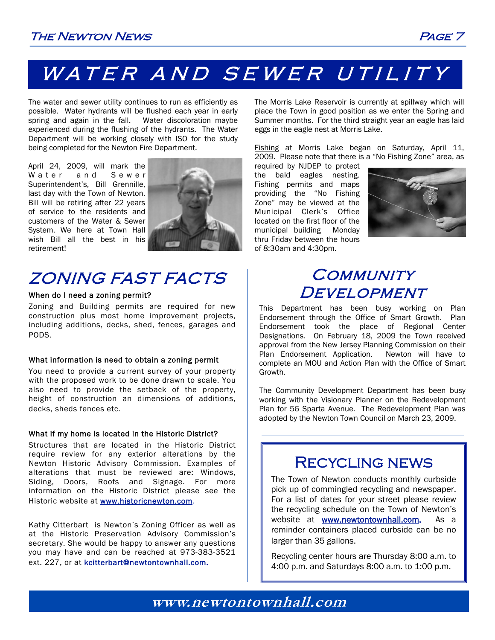# WATER AND SEWER UTILITY

The water and sewer utility continues to run as efficiently as possible. Water hydrants will be flushed each year in early spring and again in the fall. Water discoloration maybe experienced during the flushing of the hydrants. The Water Department will be working closely with ISO for the study being completed for the Newton Fire Department.

April 24, 2009, will mark the Water and Sewer Superintendent's, Bill Grennille, last day with the Town of Newton. Bill will be retiring after 22 years of service to the residents and customers of the Water & Sewer System. We here at Town Hall wish Bill all the best in his retirement!



The Morris Lake Reservoir is currently at spillway which will place the Town in good position as we enter the Spring and Summer months. For the third straight year an eagle has laid eggs in the eagle nest at Morris Lake.

Fishing at Morris Lake began on Saturday, April 11, 2009. Please note that there is a "No Fishing Zone" area, as

required by NJDEP to protect the bald eagles nesting. Fishing permits and maps providing the "No Fishing Zone" may be viewed at the Municipal Clerk's Office located on the first floor of the municipal building Monday thru Friday between the hours of 8:30am and 4:30pm.



# ZONING FAST FACTS

#### When do I need a zoning permit?

Zoning and Building permits are required for new construction plus most home improvement projects, including additions, decks, shed, fences, garages and PODS.

#### What information is need to obtain a zoning permit

You need to provide a current survey of your property with the proposed work to be done drawn to scale. You also need to provide the setback of the property, height of construction an dimensions of additions, decks, sheds fences etc.

#### What if my home is located in the Historic District?

Structures that are located in the Historic District require review for any exterior alterations by the Newton Historic Advisory Commission. Examples of alterations that must be reviewed are: Windows, Siding, Doors, Roofs and Signage. For more information on the Historic District please see the Historic website at **www.historicnewton.com**.

Kathy Citterbart is Newton's Zoning Officer as well as at the Historic Preservation Advisory Commission's secretary. She would be happy to answer any questions you may have and can be reached at 973-383-3521 ext. 227, or at **kcitterbart@newtontownhall.com.** 

### **COMMUNITY DEVELOPMENT**

This Department has been busy working on Plan Endorsement through the Office of Smart Growth. Plan Endorsement took the place of Regional Center Designations. On February 18, 2009 the Town received approval from the New Jersey Planning Commission on their Plan Endorsement Application. Newton will have to complete an MOU and Action Plan with the Office of Smart Growth.

The Community Development Department has been busy working with the Visionary Planner on the Redevelopment Plan for 56 Sparta Avenue. The Redevelopment Plan was adopted by the Newton Town Council on March 23, 2009.

### Recycling news

The Town of Newton conducts monthly curbside pick up of commingled recycling and newspaper. For a list of dates for your street please review the recycling schedule on the Town of Newton's website at **www.newtontownhall.com**. As a reminder containers placed curbside can be no larger than 35 gallons.

Recycling center hours are Thursday 8:00 a.m. to 4:00 p.m. and Saturdays 8:00 a.m. to 1:00 p.m.